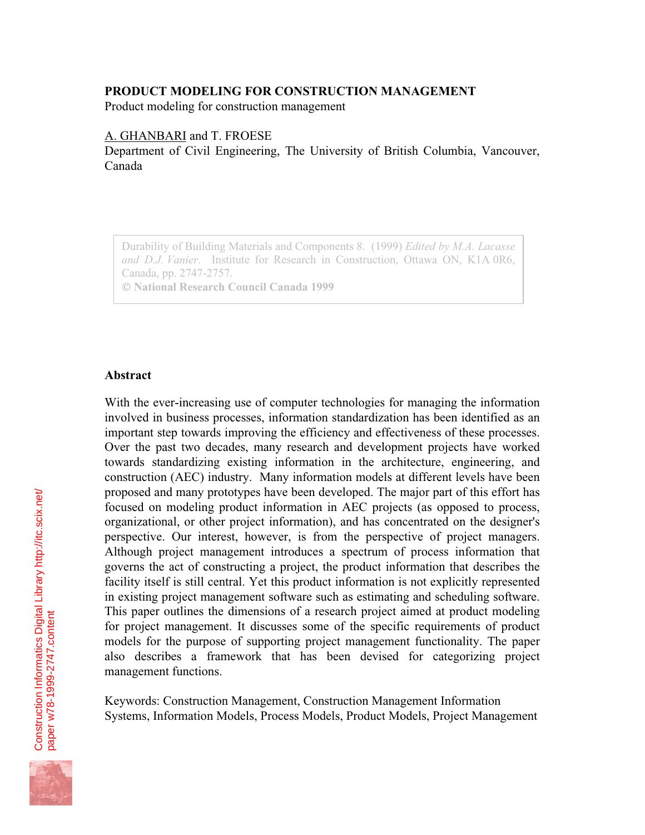## **PRODUCT MODELING FOR CONSTRUCTION MANAGEMENT**

Product modeling for construction management

## A. GHANBARI and T. FROESE

Department of Civil Engineering, The University of British Columbia, Vancouver, Canada

Durability of Building Materials and Components 8. (1999) *Edited by M.A. Lacasse and D.J. Vanier*. Institute for Research in Construction, Ottawa ON, K1A 0R6, Canada, pp. 2747-2757.  **National Research Council Canada 1999**

#### **Abstract**

With the ever-increasing use of computer technologies for managing the information involved in business processes, information standardization has been identified as an important step towards improving the efficiency and effectiveness of these processes. Over the past two decades, many research and development projects have worked towards standardizing existing information in the architecture, engineering, and construction (AEC) industry. Many information models at different levels have been proposed and many prototypes have been developed. The major part of this effort has focused on modeling product information in AEC projects (as opposed to process, organizational, or other project information), and has concentrated on the designer's perspective. Our interest, however, is from the perspective of project managers. Although project management introduces a spectrum of process information that governs the act of constructing a project, the product information that describes the facility itself is still central. Yet this product information is not explicitly represented in existing project management software such as estimating and scheduling software. This paper outlines the dimensions of a research project aimed at product modeling for project management. It discusses some of the specific requirements of product models for the purpose of supporting project management functionality. The paper also describes a framework that has been devised for categorizing project management functions.

Keywords: Construction Management, Construction Management Information Systems, Information Models, Process Models, Product Models, Project Management

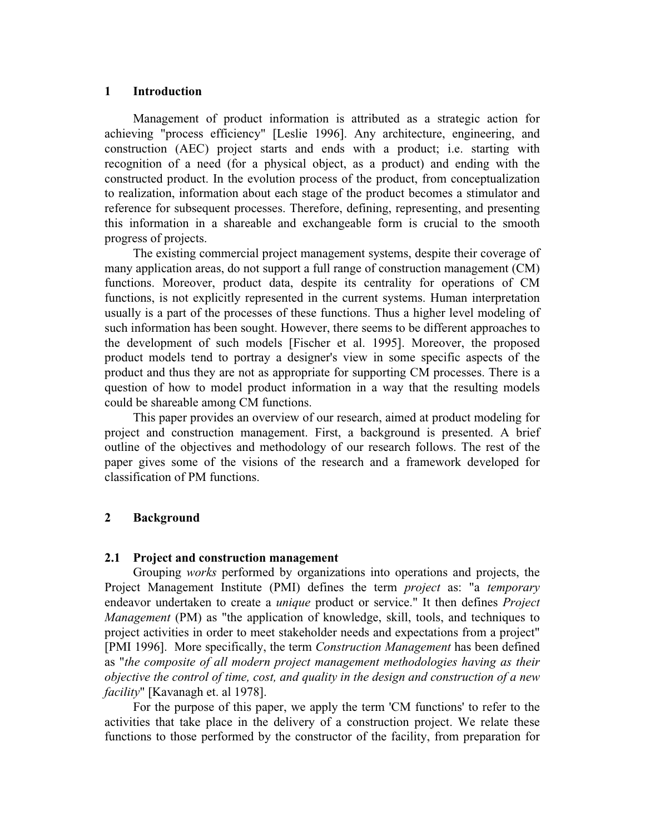#### **1 Introduction**

Management of product information is attributed as a strategic action for achieving "process efficiency" [Leslie 1996]. Any architecture, engineering, and construction (AEC) project starts and ends with a product; i.e. starting with recognition of a need (for a physical object, as a product) and ending with the constructed product. In the evolution process of the product, from conceptualization to realization, information about each stage of the product becomes a stimulator and reference for subsequent processes. Therefore, defining, representing, and presenting this information in a shareable and exchangeable form is crucial to the smooth progress of projects.

The existing commercial project management systems, despite their coverage of many application areas, do not support a full range of construction management (CM) functions. Moreover, product data, despite its centrality for operations of CM functions, is not explicitly represented in the current systems. Human interpretation usually is a part of the processes of these functions. Thus a higher level modeling of such information has been sought. However, there seems to be different approaches to the development of such models [Fischer et al. 1995]. Moreover, the proposed product models tend to portray a designer's view in some specific aspects of the product and thus they are not as appropriate for supporting CM processes. There is a question of how to model product information in a way that the resulting models could be shareable among CM functions.

This paper provides an overview of our research, aimed at product modeling for project and construction management. First, a background is presented. A brief outline of the objectives and methodology of our research follows. The rest of the paper gives some of the visions of the research and a framework developed for classification of PM functions.

# **2 Background**

## **2.1 Project and construction management**

Grouping *works* performed by organizations into operations and projects, the Project Management Institute (PMI) defines the term *project* as: "a *temporary* endeavor undertaken to create a *unique* product or service." It then defines *Project Management* (PM) as "the application of knowledge, skill, tools, and techniques to project activities in order to meet stakeholder needs and expectations from a project" [PMI 1996]. More specifically, the term *Construction Management* has been defined as "*the composite of all modern project management methodologies having as their objective the control of time, cost, and quality in the design and construction of a new facility*" [Kavanagh et. al 1978].

For the purpose of this paper, we apply the term 'CM functions' to refer to the activities that take place in the delivery of a construction project. We relate these functions to those performed by the constructor of the facility, from preparation for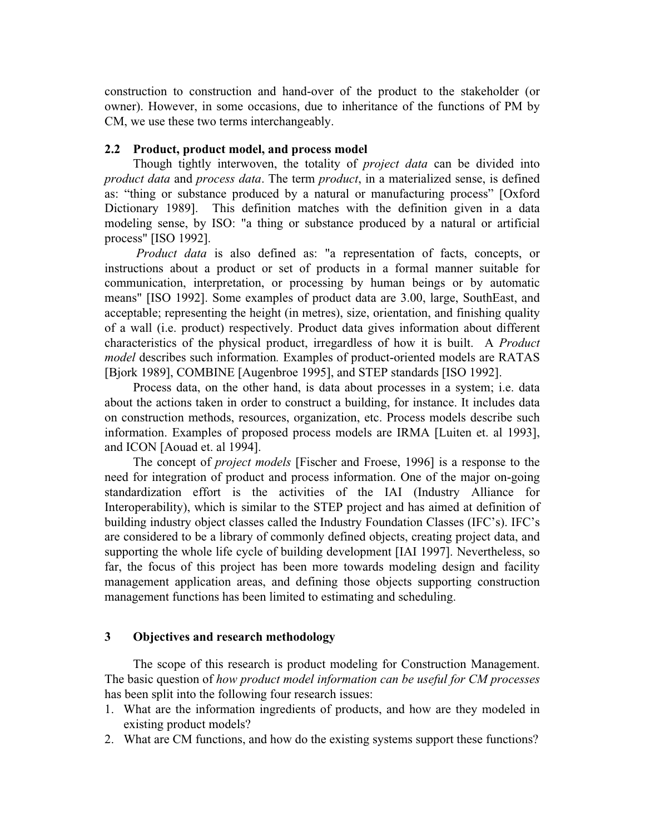construction to construction and hand-over of the product to the stakeholder (or owner). However, in some occasions, due to inheritance of the functions of PM by CM, we use these two terms interchangeably.

#### **2.2 Product, product model, and process model**

Though tightly interwoven, the totality of *project data* can be divided into *product data* and *process data*. The term *product*, in a materialized sense, is defined as: "thing or substance produced by a natural or manufacturing process" [Oxford Dictionary 1989]. This definition matches with the definition given in a data modeling sense, by ISO: "a thing or substance produced by a natural or artificial process" [ISO 1992].

*Product data* is also defined as: "a representation of facts, concepts, or instructions about a product or set of products in a formal manner suitable for communication, interpretation, or processing by human beings or by automatic means" [ISO 1992]. Some examples of product data are 3.00, large, SouthEast, and acceptable; representing the height (in metres), size, orientation, and finishing quality of a wall (i.e. product) respectively. Product data gives information about different characteristics of the physical product, irregardless of how it is built. A *Product model* describes such information*.* Examples of product-oriented models are RATAS [Bjork 1989], COMBINE [Augenbroe 1995], and STEP standards [ISO 1992].

Process data, on the other hand, is data about processes in a system; i.e. data about the actions taken in order to construct a building, for instance. It includes data on construction methods, resources, organization, etc. Process models describe such information. Examples of proposed process models are IRMA [Luiten et. al 1993], and ICON [Aouad et. al 1994].

The concept of *project models* [Fischer and Froese, 1996] is a response to the need for integration of product and process information. One of the major on-going standardization effort is the activities of the IAI (Industry Alliance for Interoperability), which is similar to the STEP project and has aimed at definition of building industry object classes called the Industry Foundation Classes (IFC's). IFC's are considered to be a library of commonly defined objects, creating project data, and supporting the whole life cycle of building development [IAI 1997]. Nevertheless, so far, the focus of this project has been more towards modeling design and facility management application areas, and defining those objects supporting construction management functions has been limited to estimating and scheduling.

## **3 Objectives and research methodology**

The scope of this research is product modeling for Construction Management. The basic question of *how product model information can be useful for CM processes* has been split into the following four research issues:

- 1. What are the information ingredients of products, and how are they modeled in existing product models?
- 2. What are CM functions, and how do the existing systems support these functions?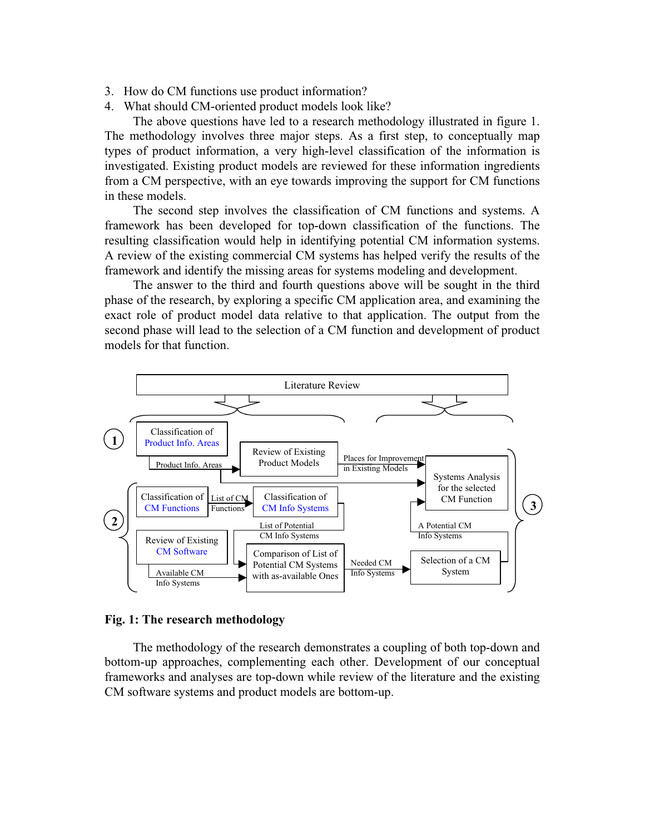- 3. How do CM functions use product information?
- 4. What should CM-oriented product models look like?

The above questions have led to a research methodology illustrated in figure 1. The methodology involves three major steps. As a first step, to conceptually map types of product information, a very high-level classification of the information is investigated. Existing product models are reviewed for these information ingredients from a CM perspective, with an eye towards improving the support for CM functions in these models.

The second step involves the classification of CM functions and systems. A framework has been developed for top-down classification of the functions. The resulting classification would help in identifying potential CM information systems. A review of the existing commercial CM systems has helped verify the results of the framework and identify the missing areas for systems modeling and development.

The answer to the third and fourth questions above will be sought in the third phase of the research, by exploring a specific CM application area, and examining the exact role of product model data relative to that application. The output from the second phase will lead to the selection of a CM function and development of product models for that function.



## **Fig. 1: The research methodology**

The methodology of the research demonstrates a coupling of both top-down and bottom-up approaches, complementing each other. Development of our conceptual frameworks and analyses are top-down while review of the literature and the existing CM software systems and product models are bottom-up.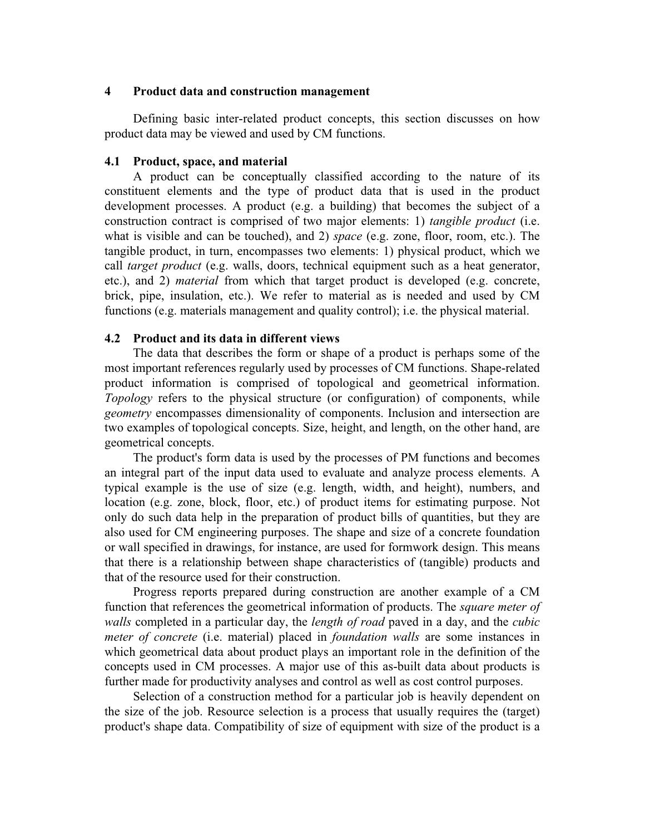## **4 Product data and construction management**

Defining basic inter-related product concepts, this section discusses on how product data may be viewed and used by CM functions.

# **4.1 Product, space, and material**

A product can be conceptually classified according to the nature of its constituent elements and the type of product data that is used in the product development processes. A product (e.g. a building) that becomes the subject of a construction contract is comprised of two major elements: 1) *tangible product* (i.e. what is visible and can be touched), and 2) *space* (e.g. zone, floor, room, etc.). The tangible product, in turn, encompasses two elements: 1) physical product, which we call *target product* (e.g. walls, doors, technical equipment such as a heat generator, etc.), and 2) *material* from which that target product is developed (e.g. concrete, brick, pipe, insulation, etc.). We refer to material as is needed and used by CM functions (e.g. materials management and quality control); i.e. the physical material.

## **4.2 Product and its data in different views**

The data that describes the form or shape of a product is perhaps some of the most important references regularly used by processes of CM functions. Shape-related product information is comprised of topological and geometrical information. *Topology* refers to the physical structure (or configuration) of components, while *geometry* encompasses dimensionality of components. Inclusion and intersection are two examples of topological concepts. Size, height, and length, on the other hand, are geometrical concepts.

The product's form data is used by the processes of PM functions and becomes an integral part of the input data used to evaluate and analyze process elements. A typical example is the use of size (e.g. length, width, and height), numbers, and location (e.g. zone, block, floor, etc.) of product items for estimating purpose. Not only do such data help in the preparation of product bills of quantities, but they are also used for CM engineering purposes. The shape and size of a concrete foundation or wall specified in drawings, for instance, are used for formwork design. This means that there is a relationship between shape characteristics of (tangible) products and that of the resource used for their construction.

Progress reports prepared during construction are another example of a CM function that references the geometrical information of products. The *square meter of walls* completed in a particular day, the *length of road* paved in a day, and the *cubic meter of concrete* (i.e. material) placed in *foundation walls* are some instances in which geometrical data about product plays an important role in the definition of the concepts used in CM processes. A major use of this as-built data about products is further made for productivity analyses and control as well as cost control purposes.

Selection of a construction method for a particular job is heavily dependent on the size of the job. Resource selection is a process that usually requires the (target) product's shape data. Compatibility of size of equipment with size of the product is a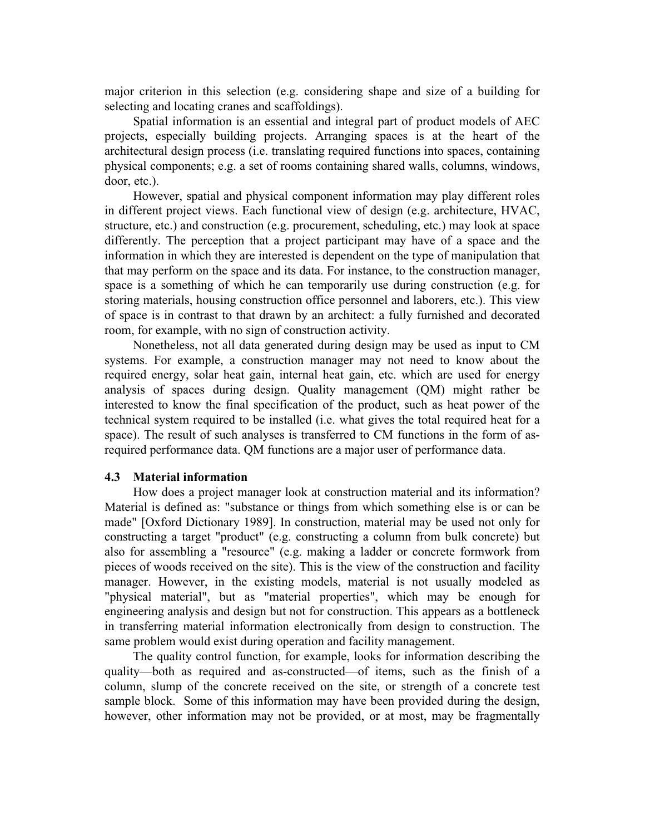major criterion in this selection (e.g. considering shape and size of a building for selecting and locating cranes and scaffoldings).

Spatial information is an essential and integral part of product models of AEC projects, especially building projects. Arranging spaces is at the heart of the architectural design process (i.e. translating required functions into spaces, containing physical components; e.g. a set of rooms containing shared walls, columns, windows, door, etc.).

However, spatial and physical component information may play different roles in different project views. Each functional view of design (e.g. architecture, HVAC, structure, etc.) and construction (e.g. procurement, scheduling, etc.) may look at space differently. The perception that a project participant may have of a space and the information in which they are interested is dependent on the type of manipulation that that may perform on the space and its data. For instance, to the construction manager, space is a something of which he can temporarily use during construction (e.g. for storing materials, housing construction office personnel and laborers, etc.). This view of space is in contrast to that drawn by an architect: a fully furnished and decorated room, for example, with no sign of construction activity.

Nonetheless, not all data generated during design may be used as input to CM systems. For example, a construction manager may not need to know about the required energy, solar heat gain, internal heat gain, etc. which are used for energy analysis of spaces during design. Quality management (QM) might rather be interested to know the final specification of the product, such as heat power of the technical system required to be installed (i.e. what gives the total required heat for a space). The result of such analyses is transferred to CM functions in the form of asrequired performance data. QM functions are a major user of performance data.

#### **4.3 Material information**

How does a project manager look at construction material and its information? Material is defined as: "substance or things from which something else is or can be made" [Oxford Dictionary 1989]. In construction, material may be used not only for constructing a target "product" (e.g. constructing a column from bulk concrete) but also for assembling a "resource" (e.g. making a ladder or concrete formwork from pieces of woods received on the site). This is the view of the construction and facility manager. However, in the existing models, material is not usually modeled as "physical material", but as "material properties", which may be enough for engineering analysis and design but not for construction. This appears as a bottleneck in transferring material information electronically from design to construction. The same problem would exist during operation and facility management.

The quality control function, for example, looks for information describing the quality—both as required and as-constructed—of items, such as the finish of a column, slump of the concrete received on the site, or strength of a concrete test sample block. Some of this information may have been provided during the design, however, other information may not be provided, or at most, may be fragmentally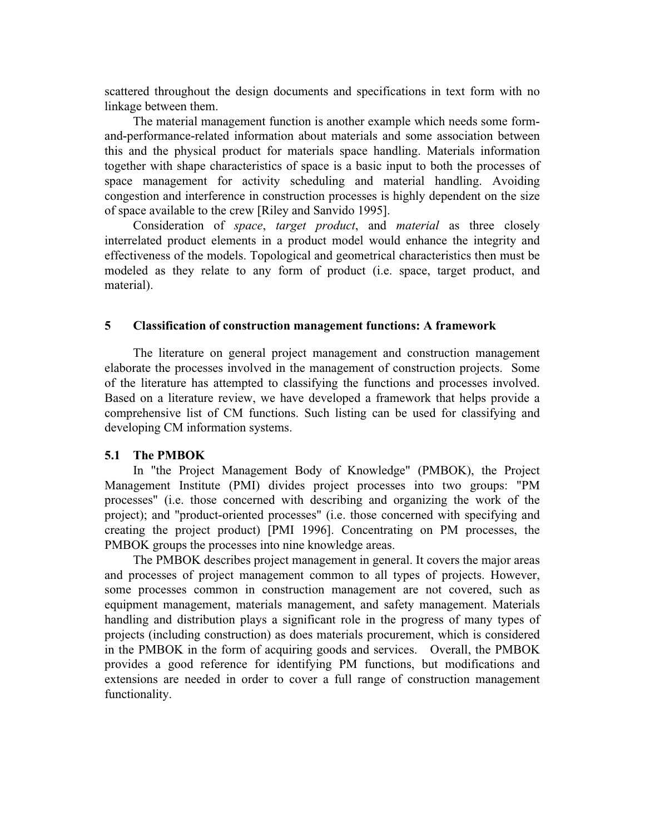scattered throughout the design documents and specifications in text form with no linkage between them.

The material management function is another example which needs some formand-performance-related information about materials and some association between this and the physical product for materials space handling. Materials information together with shape characteristics of space is a basic input to both the processes of space management for activity scheduling and material handling. Avoiding congestion and interference in construction processes is highly dependent on the size of space available to the crew [Riley and Sanvido 1995].

Consideration of *space*, *target product*, and *material* as three closely interrelated product elements in a product model would enhance the integrity and effectiveness of the models. Topological and geometrical characteristics then must be modeled as they relate to any form of product (i.e. space, target product, and material).

# **5 Classification of construction management functions: A framework**

The literature on general project management and construction management elaborate the processes involved in the management of construction projects. Some of the literature has attempted to classifying the functions and processes involved. Based on a literature review, we have developed a framework that helps provide a comprehensive list of CM functions. Such listing can be used for classifying and developing CM information systems.

## **5.1 The PMBOK**

In "the Project Management Body of Knowledge" (PMBOK), the Project Management Institute (PMI) divides project processes into two groups: "PM processes" (i.e. those concerned with describing and organizing the work of the project); and "product-oriented processes" (i.e. those concerned with specifying and creating the project product) [PMI 1996]. Concentrating on PM processes, the PMBOK groups the processes into nine knowledge areas.

The PMBOK describes project management in general. It covers the major areas and processes of project management common to all types of projects. However, some processes common in construction management are not covered, such as equipment management, materials management, and safety management. Materials handling and distribution plays a significant role in the progress of many types of projects (including construction) as does materials procurement, which is considered in the PMBOK in the form of acquiring goods and services. Overall, the PMBOK provides a good reference for identifying PM functions, but modifications and extensions are needed in order to cover a full range of construction management functionality.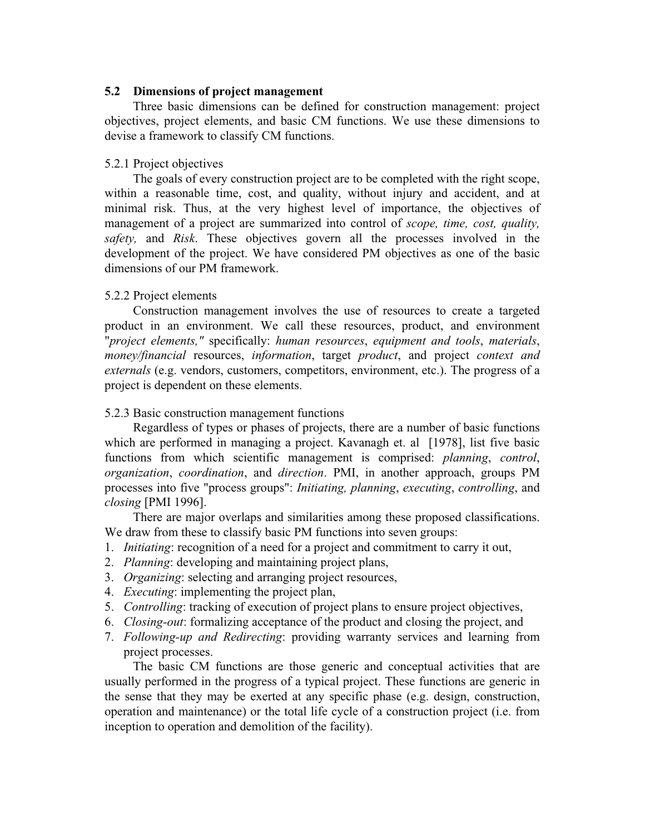### **5.2 Dimensions of project management**

Three basic dimensions can be defined for construction management: project objectives, project elements, and basic CM functions. We use these dimensions to devise a framework to classify CM functions.

### 5.2.1 Project objectives

The goals of every construction project are to be completed with the right scope, within a reasonable time, cost, and quality, without injury and accident, and at minimal risk. Thus, at the very highest level of importance, the objectives of management of a project are summarized into control of *scope, time, cost, quality, safety,* and *Risk*. These objectives govern all the processes involved in the development of the project. We have considered PM objectives as one of the basic dimensions of our PM framework.

## 5.2.2 Project elements

Construction management involves the use of resources to create a targeted product in an environment. We call these resources, product, and environment "*project elements,"* specifically: *human resources*, *equipment and tools*, *materials*, *money/financial* resources, *information*, target *product*, and project *context and externals* (e.g. vendors, customers, competitors, environment, etc.). The progress of a project is dependent on these elements.

#### 5.2.3 Basic construction management functions

Regardless of types or phases of projects, there are a number of basic functions which are performed in managing a project. Kavanagh et. al [1978], list five basic functions from which scientific management is comprised: *planning*, *control*, *organization*, *coordination*, and *direction*. PMI, in another approach, groups PM processes into five "process groups": *Initiating, planning*, *executing*, *controlling*, and *closing* [PMI 1996].

There are major overlaps and similarities among these proposed classifications. We draw from these to classify basic PM functions into seven groups:

- 1. *Initiating*: recognition of a need for a project and commitment to carry it out,
- 2. *Planning*: developing and maintaining project plans,
- 3. *Organizing*: selecting and arranging project resources,
- 4. *Executing*: implementing the project plan,
- 5. *Controlling*: tracking of execution of project plans to ensure project objectives,
- 6. *Closing-out*: formalizing acceptance of the product and closing the project, and
- 7. *Following-up and Redirecting*: providing warranty services and learning from project processes.

The basic CM functions are those generic and conceptual activities that are usually performed in the progress of a typical project. These functions are generic in the sense that they may be exerted at any specific phase (e.g. design, construction, operation and maintenance) or the total life cycle of a construction project (i.e. from inception to operation and demolition of the facility).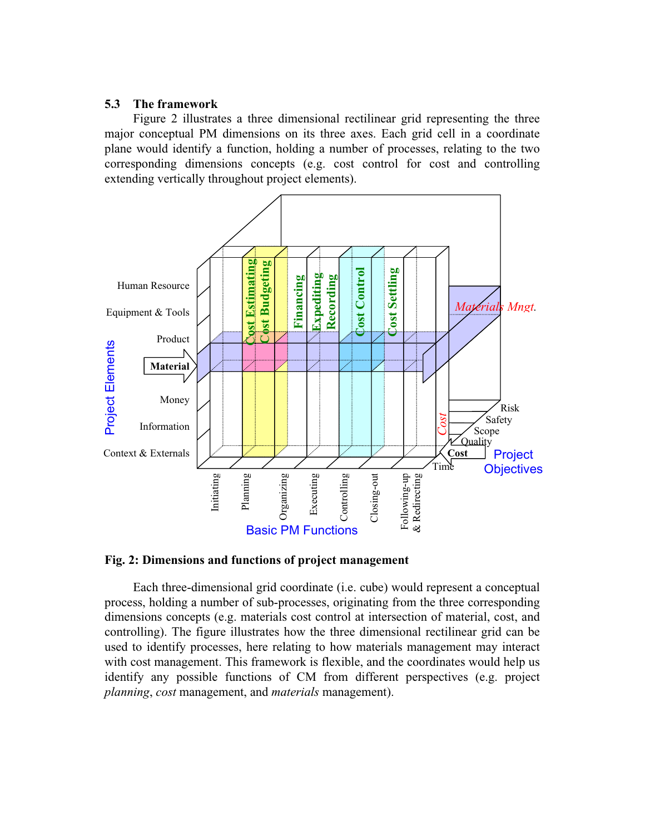## **5.3 The framework**

Figure 2 illustrates a three dimensional rectilinear grid representing the three major conceptual PM dimensions on its three axes. Each grid cell in a coordinate plane would identify a function, holding a number of processes, relating to the two corresponding dimensions concepts (e.g. cost control for cost and controlling extending vertically throughout project elements).



**Fig. 2: Dimensions and functions of project management**

Each three-dimensional grid coordinate (i.e. cube) would represent a conceptual process, holding a number of sub-processes, originating from the three corresponding dimensions concepts (e.g. materials cost control at intersection of material, cost, and controlling). The figure illustrates how the three dimensional rectilinear grid can be used to identify processes, here relating to how materials management may interact with cost management. This framework is flexible, and the coordinates would help us identify any possible functions of CM from different perspectives (e.g. project *planning*, *cost* management, and *materials* management).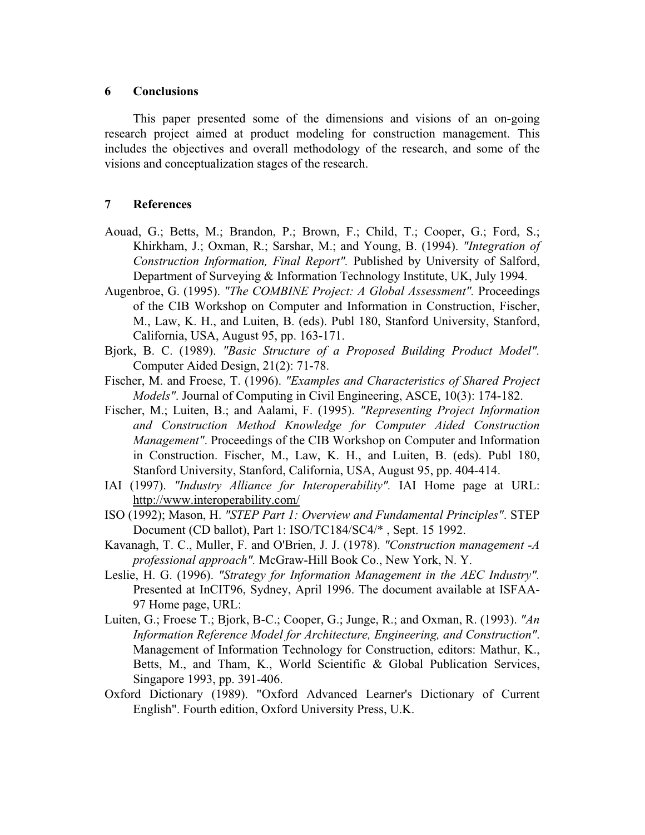#### **6 Conclusions**

This paper presented some of the dimensions and visions of an on-going research project aimed at product modeling for construction management. This includes the objectives and overall methodology of the research, and some of the visions and conceptualization stages of the research.

#### **7 References**

- Aouad, G.; Betts, M.; Brandon, P.; Brown, F.; Child, T.; Cooper, G.; Ford, S.; Khirkham, J.; Oxman, R.; Sarshar, M.; and Young, B. (1994). *"Integration of Construction Information, Final Report".* Published by University of Salford, Department of Surveying & Information Technology Institute, UK, July 1994.
- Augenbroe, G. (1995). *"The COMBINE Project: A Global Assessment".* Proceedings of the CIB Workshop on Computer and Information in Construction, Fischer, M., Law, K. H., and Luiten, B. (eds). Publ 180, Stanford University, Stanford, California, USA, August 95, pp. 163-171.
- Bjork, B. C. (1989). *"Basic Structure of a Proposed Building Product Model".* Computer Aided Design, 21(2): 71-78.
- Fischer, M. and Froese, T. (1996). *"Examples and Characteristics of Shared Project Models"*. Journal of Computing in Civil Engineering, ASCE, 10(3): 174-182.
- Fischer, M.; Luiten, B.; and Aalami, F. (1995). *"Representing Project Information and Construction Method Knowledge for Computer Aided Construction Management"*. Proceedings of the CIB Workshop on Computer and Information in Construction. Fischer, M., Law, K. H., and Luiten, B. (eds). Publ 180, Stanford University, Stanford, California, USA, August 95, pp. 404-414.
- IAI (1997). *"Industry Alliance for Interoperability".* IAI Home page at URL: http://www.interoperability.com/
- ISO (1992); Mason, H. *"STEP Part 1: Overview and Fundamental Principles"*. STEP Document (CD ballot), Part 1: ISO/TC184/SC4/\* , Sept. 15 1992.
- Kavanagh, T. C., Muller, F. and O'Brien, J. J. (1978). *"Construction management -A professional approach".* McGraw-Hill Book Co., New York, N. Y.
- Leslie, H. G. (1996). *"Strategy for Information Management in the AEC Industry".* Presented at InCIT96, Sydney, April 1996. The document available at ISFAA-97 Home page, URL:
- Luiten, G.; Froese T.; Bjork, B-C.; Cooper, G.; Junge, R.; and Oxman, R. (1993). *"An Information Reference Model for Architecture, Engineering, and Construction"*. Management of Information Technology for Construction, editors: Mathur, K., Betts, M., and Tham, K., World Scientific & Global Publication Services, Singapore 1993, pp. 391-406.
- Oxford Dictionary (1989). "Oxford Advanced Learner's Dictionary of Current English". Fourth edition, Oxford University Press, U.K.